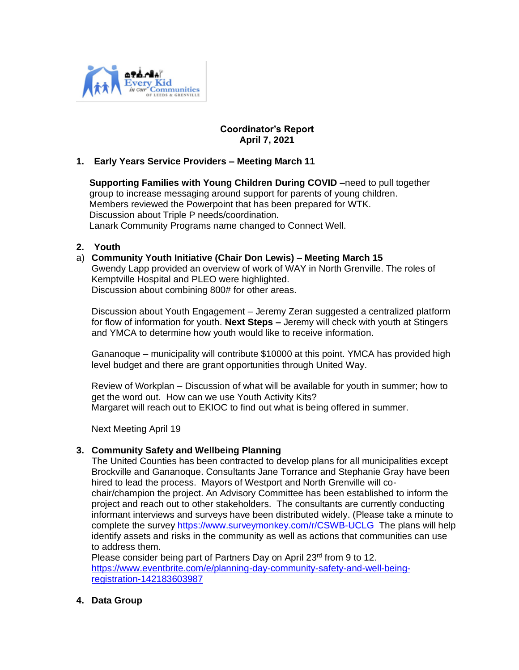

# **Coordinator's Report April 7, 2021**

## **1. Early Years Service Providers – Meeting March 11**

 **Supporting Families with Young Children During COVID –**need to pull together group to increase messaging around support for parents of young children. Members reviewed the Powerpoint that has been prepared for WTK. Discussion about Triple P needs/coordination. Lanark Community Programs name changed to Connect Well.

### **2. Youth**

### a) **Community Youth Initiative (Chair Don Lewis) – Meeting March 15**

Gwendy Lapp provided an overview of work of WAY in North Grenville. The roles of Kemptville Hospital and PLEO were highlighted. Discussion about combining 800# for other areas.

Discussion about Youth Engagement – Jeremy Zeran suggested a centralized platform for flow of information for youth. **Next Steps –** Jeremy will check with youth at Stingers and YMCA to determine how youth would like to receive information.

Gananoque – municipality will contribute \$10000 at this point. YMCA has provided high level budget and there are grant opportunities through United Way.

Review of Workplan – Discussion of what will be available for youth in summer; how to get the word out. How can we use Youth Activity Kits? Margaret will reach out to EKIOC to find out what is being offered in summer.

Next Meeting April 19

### **3. Community Safety and Wellbeing Planning**

The United Counties has been contracted to develop plans for all municipalities except Brockville and Gananoque. Consultants Jane Torrance and Stephanie Gray have been hired to lead the process. Mayors of Westport and North Grenville will cochair/champion the project. An Advisory Committee has been established to inform the project and reach out to other stakeholders. The consultants are currently conducting informant interviews and surveys have been distributed widely. (Please take a minute to complete the survey<https://www.surveymonkey.com/r/CSWB-UCLG>The plans will help identify assets and risks in the community as well as actions that communities can use to address them.

Please consider being part of Partners Day on April 23<sup>rd</sup> from 9 to 12. [https://www.eventbrite.com/e/planning-day-community-safety-and-well-being](https://www.eventbrite.com/e/planning-day-community-safety-and-well-being-registration-142183603987)[registration-142183603987](https://www.eventbrite.com/e/planning-day-community-safety-and-well-being-registration-142183603987)

### **4. Data Group**